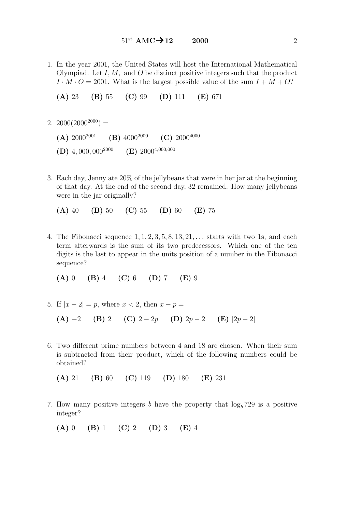1. In the year 2001, the United States will host the International Mathematical Olympiad. Let I, M, and O be distinct positive integers such that the product  $I \cdot M \cdot O = 2001$ . What is the largest possible value of the sum  $I + M + O$ ?

(A) 23 (B) 55 (C) 99 (D) 111 (E) 671

- 2.  $2000(2000^{2000}) =$ 
	- (A)  $2000^{2001}$  (B)  $4000^{2000}$  (C)  $2000^{4000}$ (D) 4, 000, 000<sup>2000</sup> (E) 2000<sup>4,000,000</sup>
- 3. Each day, Jenny ate 20% of the jellybeans that were in her jar at the beginning of that day. At the end of the second day, 32 remained. How many jellybeans were in the jar originally?

(A) 40 (B) 50 (C) 55 (D) 60 (E) 75

4. The Fibonacci sequence  $1, 1, 2, 3, 5, 8, 13, 21, \ldots$  starts with two 1s, and each term afterwards is the sum of its two predecessors. Which one of the ten digits is the last to appear in the units position of a number in the Fibonacci sequence?

 $(A) 0 \t (B) 4 \t (C) 6 \t (D) 7 \t (E) 9$ 

- 5. If  $|x 2| = p$ , where  $x < 2$ , then  $x p =$ (A) −2 (B) 2 (C)  $2-2p$  (D)  $2p-2$  (E)  $|2p-2|$
- 6. Two different prime numbers between 4 and 18 are chosen. When their sum is subtracted from their product, which of the following numbers could be obtained?

(A) 21 (B) 60 (C) 119 (D) 180 (E) 231

7. How many positive integers b have the property that  $\log_b 729$  is a positive integer?

(A) 0 (B) 1 (C) 2 (D) 3 (E) 4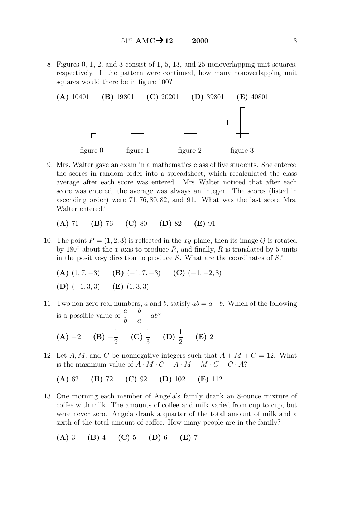8. Figures 0, 1, 2, and 3 consist of 1, 5, 13, and 25 nonoverlapping unit squares, respectively. If the pattern were continued, how many nonoverlapping unit squares would there be in figure 100?



9. Mrs. Walter gave an exam in a mathematics class of five students. She entered the scores in random order into a spreadsheet, which recalculated the class average after each score was entered. Mrs. Walter noticed that after each score was entered, the average was always an integer. The scores (listed in ascending order) were 71, 76, 80, 82, and 91. What was the last score Mrs. Walter entered?

$$
(A) 71 (B) 76 (C) 80 (D) 82 (E) 91
$$

- 10. The point  $P = (1, 2, 3)$  is reflected in the xy-plane, then its image Q is rotated by 180 $\degree$  about the x-axis to produce R, and finally, R is translated by 5 units in the positive-y direction to produce S. What are the coordinates of  $S$ ?
	- (A)  $(1, 7, -3)$  (B)  $(-1, 7, -3)$  (C)  $(-1, -2, 8)$ (D)  $(-1, 3, 3)$  (E)  $(1, 3, 3)$
- 11. Two non-zero real numbers, a and b, satisfy  $ab = a b$ . Which of the following is a possible value of  $\frac{a}{b}$ b  $+$ b a  $-\,ab?$

(A) -2 (B) 
$$
-\frac{1}{2}
$$
 (C)  $\frac{1}{3}$  (D)  $\frac{1}{2}$  (E) 2

12. Let A, M, and C be nonnegative integers such that  $A + M + C = 12$ . What is the maximum value of  $A \cdot M \cdot C + A \cdot M + M \cdot C + C \cdot A$ ?

(A) 62 (B) 72 (C) 92 (D) 102 (E) 112

13. One morning each member of Angela's family drank an 8-ounce mixture of coffee with milk. The amounts of coffee and milk varied from cup to cup, but were never zero. Angela drank a quarter of the total amount of milk and a sixth of the total amount of coffee. How many people are in the family?

$$
(A) 3 (B) 4 (C) 5 (D) 6 (E) 7
$$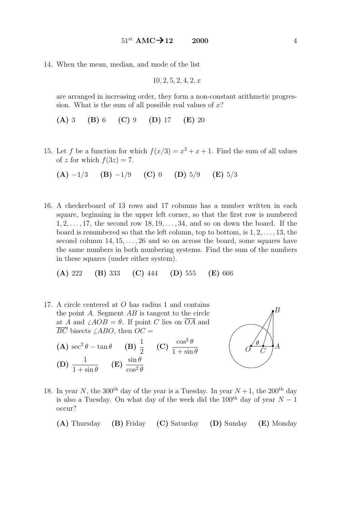14. When the mean, median, and mode of the list

$$
10, 2, 5, 2, 4, 2, x
$$

are arranged in increasing order, they form a non-constant arithmetic progression. What is the sum of all possible real values of  $x$ ?

(A) 3 (B) 6 (C) 9 (D) 17 (E) 20

15. Let f be a function for which  $f(x/3) = x^2 + x + 1$ . Find the sum of all values of z for which  $f(3z) = 7$ .

(A) 
$$
-1/3
$$
 (B)  $-1/9$  (C) 0 (D)  $5/9$  (E)  $5/3$ 

16. A checkerboard of 13 rows and 17 columns has a number written in each square, beginning in the upper left corner, so that the first row is numbered  $1, 2, \ldots, 17$ , the second row  $18, 19, \ldots, 34$ , and so on down the board. If the board is renumbered so that the left column, top to bottom, is  $1, 2, \ldots, 13$ , the second column  $14, 15, \ldots, 26$  and so on across the board, some squares have the same numbers in both numbering systems. Find the sum of the numbers in these squares (under either system).

(A) 222 (B) 333 (C) 444 (D) 555 (E) 666

- 17. A circle centered at O has radius 1 and contains the point  $A$ . Segment  $AB$  is tangent to the circle at A and  $\angle AOB = \theta$ . If point C lies on  $\overline{OA}$  and  $\overline{BC}$  bisects  $\angle ABO$ , then  $OC =$ 
	- (A)  $\sec^2 \theta \tan \theta$  (B)  $\frac{1}{2}$ 2  $\rm (C) \frac{\cos^2 \theta}{\frac{1}{2} + \frac{1}{2}}$  $1 + \sin \theta$  $(D) \frac{1}{1+1}$  $1 + \sin \theta$  $(E) \frac{\sin \theta}{2}$  $\cos^2\theta$



18. In year N, the 300<sup>th</sup> day of the year is a Tuesday. In year  $N+1$ , the 200<sup>th</sup> day is also a Tuesday. On what day of the week did the 100<sup>th</sup> day of year  $N-1$ occur?

(A) Thursday (B) Friday (C) Saturday (D) Sunday (E) Monday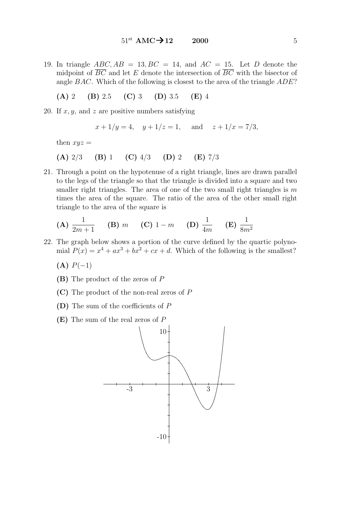19. In triangle  $ABC, AB = 13, BC = 14$ , and  $AC = 15$ . Let D denote the midpoint of  $\overline{BC}$  and let E denote the intersection of  $\overline{BC}$  with the bisector of angle BAC. Which of the following is closest to the area of the triangle ADE?

(A) 2 (B) 2.5 (C) 3 (D) 3.5 (E) 4

20. If  $x, y$ , and z are positive numbers satisfying

$$
x + 1/y = 4
$$
,  $y + 1/z = 1$ , and  $z + 1/x = 7/3$ ,

then  $xyz =$ 

- (A)  $2/3$  (B) 1 (C)  $4/3$  (D) 2 (E)  $7/3$
- 21. Through a point on the hypotenuse of a right triangle, lines are drawn parallel to the legs of the triangle so that the triangle is divided into a square and two smaller right triangles. The area of one of the two small right triangles is  $m$ times the area of the square. The ratio of the area of the other small right triangle to the area of the square is

(A) 
$$
\frac{1}{2m+1}
$$
 (B)  $m$  (C)  $1-m$  (D)  $\frac{1}{4m}$  (E)  $\frac{1}{8m^2}$ 

- 22. The graph below shows a portion of the curve defined by the quartic polynomial  $P(x) = x^4 + ax^3 + bx^2 + cx + d$ . Which of the following is the smallest?
	- $(A) P(-1)$
	- (B) The product of the zeros of P
	- (C) The product of the non-real zeros of P
	- (D) The sum of the coefficients of P
	- (E) The sum of the real zeros of P